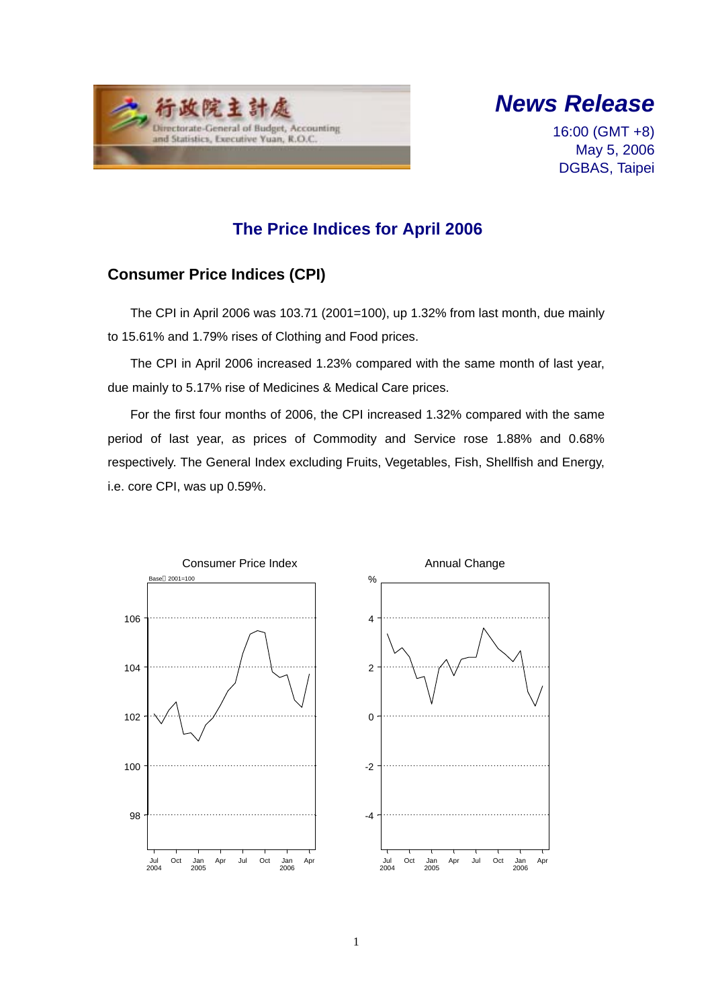



16:00 (GMT +8) May 5, 2006 DGBAS, Taipei

# **The Price Indices for April 2006**

## **Consumer Price Indices (CPI)**

The CPI in April 2006 was 103.71 (2001=100), up 1.32% from last month, due mainly to 15.61% and 1.79% rises of Clothing and Food prices.

The CPI in April 2006 increased 1.23% compared with the same month of last year, due mainly to 5.17% rise of Medicines & Medical Care prices.

For the first four months of 2006, the CPI increased 1.32% compared with the same period of last year, as prices of Commodity and Service rose 1.88% and 0.68% respectively. The General Index excluding Fruits, Vegetables, Fish, Shellfish and Energy, i.e. core CPI, was up 0.59%.

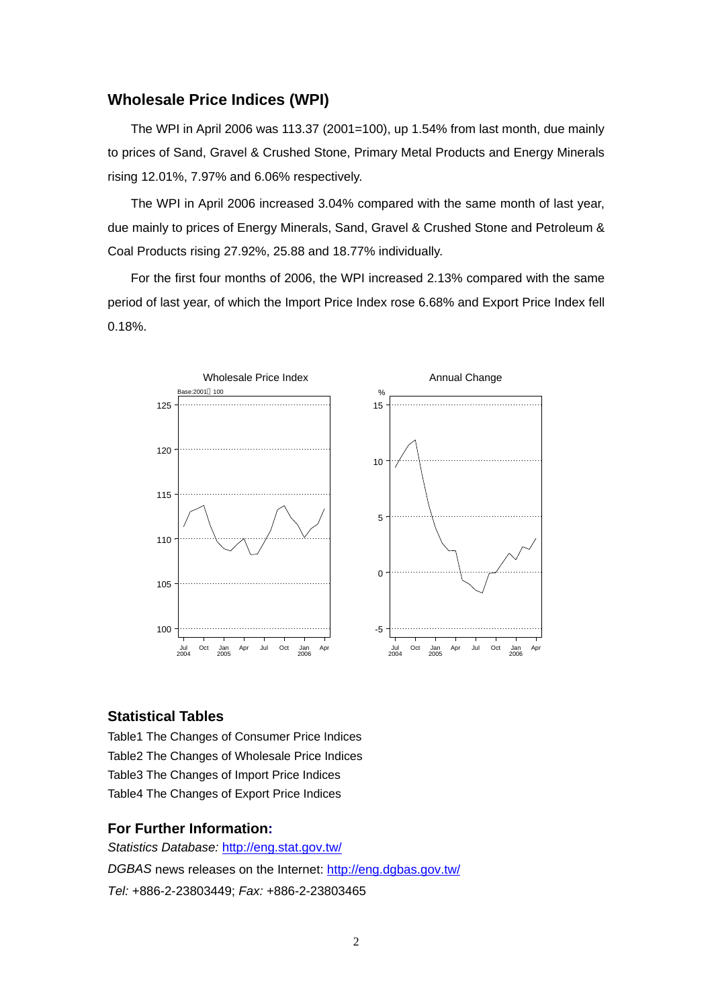### **Wholesale Price Indices (WPI)**

The WPI in April 2006 was 113.37 (2001=100), up 1.54% from last month, due mainly to prices of Sand, Gravel & Crushed Stone, Primary Metal Products and Energy Minerals rising 12.01%, 7.97% and 6.06% respectively.

The WPI in April 2006 increased 3.04% compared with the same month of last year, due mainly to prices of Energy Minerals, Sand, Gravel & Crushed Stone and Petroleum & Coal Products rising 27.92%, 25.88 and 18.77% individually.

For the first four months of 2006, the WPI increased 2.13% compared with the same period of last year, of which the Import Price Index rose 6.68% and Export Price Index fell 0.18%.



#### **Statistical Tables**

Table1 The Changes of Consumer Price Indices Table2 The Changes of Wholesale Price Indices Table3 The Changes of Import Price Indices Table4 The Changes of Export Price Indices

#### **For Further Information:**

*Statistics Database:* http://eng.stat.gov.tw/ *DGBAS* news releases on the Internet: http://eng.dgbas.gov.tw/ *Tel:* +886-2-23803449; *Fax:* +886-2-23803465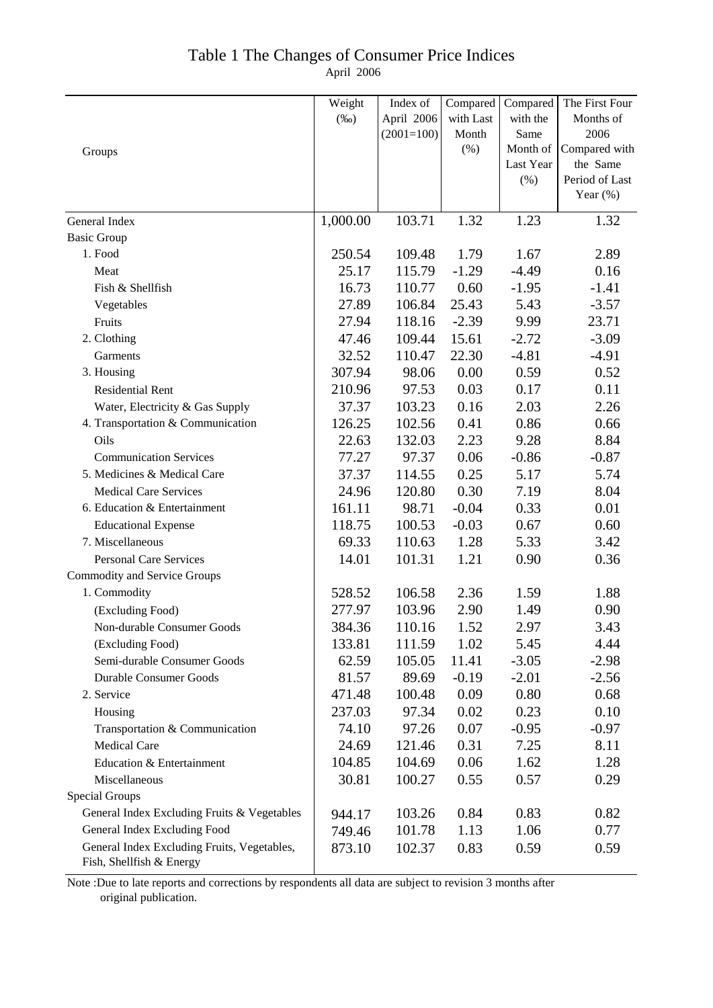### April 2006 Table 1 The Changes of Consumer Price Indices

|                                                                         | Weight   | Index of     | Compared  | Compared  | The First Four |
|-------------------------------------------------------------------------|----------|--------------|-----------|-----------|----------------|
|                                                                         | $(\%0)$  | April 2006   | with Last | with the  | Months of      |
|                                                                         |          | $(2001=100)$ | Month     | Same      | 2006           |
| Groups                                                                  |          |              | (%)       | Month of  | Compared with  |
|                                                                         |          |              |           | Last Year | the Same       |
|                                                                         |          |              |           | (% )      | Period of Last |
|                                                                         |          |              |           |           | Year $(\%)$    |
| General Index                                                           | 1,000.00 | 103.71       | 1.32      | 1.23      | 1.32           |
| <b>Basic Group</b>                                                      |          |              |           |           |                |
| 1. Food                                                                 | 250.54   | 109.48       | 1.79      | 1.67      | 2.89           |
| Meat                                                                    | 25.17    | 115.79       | $-1.29$   | $-4.49$   | 0.16           |
| Fish & Shellfish                                                        | 16.73    | 110.77       | 0.60      | $-1.95$   | $-1.41$        |
| Vegetables                                                              | 27.89    | 106.84       | 25.43     | 5.43      | $-3.57$        |
| Fruits                                                                  | 27.94    | 118.16       | $-2.39$   | 9.99      | 23.71          |
| 2. Clothing                                                             | 47.46    | 109.44       | 15.61     | $-2.72$   | $-3.09$        |
| Garments                                                                | 32.52    | 110.47       | 22.30     | $-4.81$   | $-4.91$        |
| 3. Housing                                                              | 307.94   | 98.06        | 0.00      | 0.59      | 0.52           |
| <b>Residential Rent</b>                                                 | 210.96   | 97.53        | 0.03      | 0.17      | 0.11           |
| Water, Electricity & Gas Supply                                         | 37.37    | 103.23       | 0.16      | 2.03      | 2.26           |
| 4. Transportation & Communication                                       | 126.25   | 102.56       | 0.41      | 0.86      | 0.66           |
| Oils                                                                    | 22.63    | 132.03       | 2.23      | 9.28      | 8.84           |
| <b>Communication Services</b>                                           | 77.27    | 97.37        | 0.06      | $-0.86$   | $-0.87$        |
| 5. Medicines & Medical Care                                             | 37.37    | 114.55       | 0.25      | 5.17      | 5.74           |
| <b>Medical Care Services</b>                                            | 24.96    | 120.80       | 0.30      | 7.19      | 8.04           |
| 6. Education & Entertainment                                            | 161.11   | 98.71        | $-0.04$   | 0.33      | 0.01           |
| <b>Educational Expense</b>                                              | 118.75   | 100.53       | $-0.03$   | 0.67      | 0.60           |
| 7. Miscellaneous                                                        | 69.33    | 110.63       | 1.28      | 5.33      | 3.42           |
| <b>Personal Care Services</b>                                           | 14.01    | 101.31       | 1.21      | 0.90      | 0.36           |
| <b>Commodity and Service Groups</b>                                     |          |              |           |           |                |
| 1. Commodity                                                            | 528.52   | 106.58       | 2.36      | 1.59      | 1.88           |
| (Excluding Food)                                                        | 277.97   | 103.96       | 2.90      | 1.49      | 0.90           |
| Non-durable Consumer Goods                                              | 384.36   | 110.16       | 1.52      | 2.97      | 3.43           |
| (Excluding Food)                                                        | 133.81   | 111.59       | 1.02      | 5.45      | 4.44           |
| Semi-durable Consumer Goods                                             | 62.59    | 105.05       | 11.41     | $-3.05$   | $-2.98$        |
| <b>Durable Consumer Goods</b>                                           | 81.57    | 89.69        | $-0.19$   | $-2.01$   | $-2.56$        |
| 2. Service                                                              | 471.48   | 100.48       | 0.09      | 0.80      | 0.68           |
| Housing                                                                 | 237.03   | 97.34        | 0.02      | 0.23      | 0.10           |
| Transportation & Communication                                          | 74.10    | 97.26        | 0.07      | $-0.95$   | $-0.97$        |
| <b>Medical Care</b>                                                     | 24.69    | 121.46       | 0.31      | 7.25      | 8.11           |
| Education & Entertainment                                               | 104.85   | 104.69       | 0.06      | 1.62      | 1.28           |
| Miscellaneous                                                           | 30.81    | 100.27       | 0.55      | 0.57      | 0.29           |
| <b>Special Groups</b>                                                   |          |              |           |           |                |
| General Index Excluding Fruits & Vegetables                             | 944.17   | 103.26       | 0.84      | 0.83      | 0.82           |
| General Index Excluding Food                                            | 749.46   | 101.78       | 1.13      | 1.06      | 0.77           |
| General Index Excluding Fruits, Vegetables,<br>Fish, Shellfish & Energy | 873.10   | 102.37       | 0.83      | 0.59      | 0.59           |

Note :Due to late reports and corrections by respondents all data are subject to revision 3 months after original publication.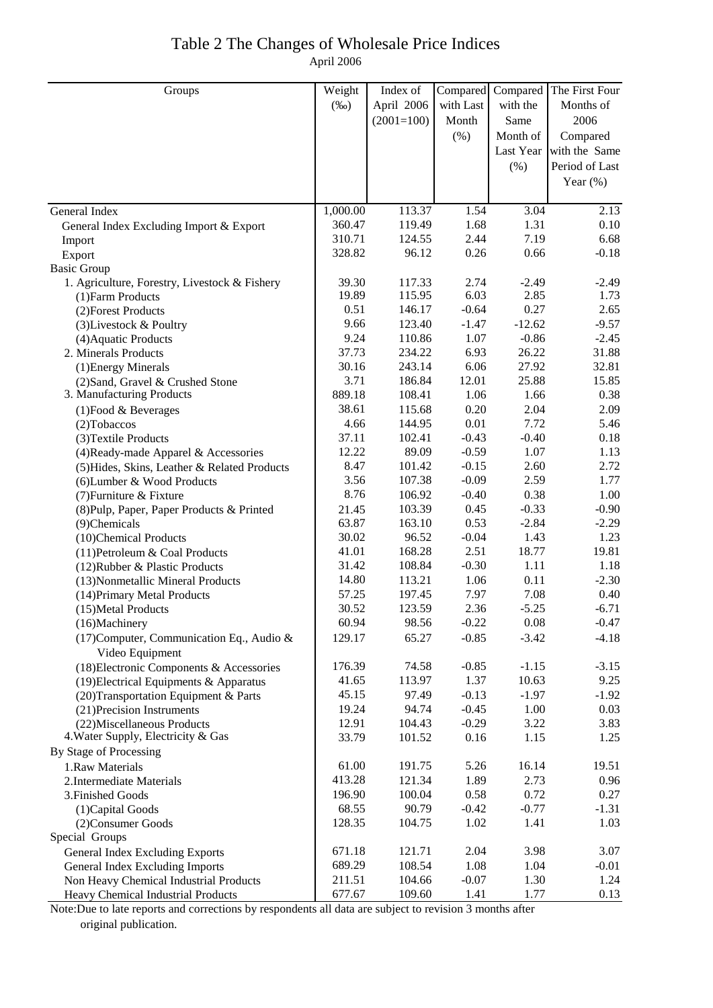## Table 2 The Changes of Wholesale Price Indices April 2006

| Weight<br>Compared The First Four<br>Index of<br>Compared<br>Groups<br>with Last<br>with the<br>Months of<br>$(\%0)$<br>April 2006<br>2006<br>$(2001=100)$<br>Month<br>Same<br>(% )<br>Compared<br>Month of<br>Last Year with the Same<br>Period of Last<br>(%)<br>Year $(\%)$<br>1,000.00<br>113.37<br>1.54<br>3.04<br>General Index<br>2.13<br>360.47<br>1.31<br>1.68<br>0.10<br>119.49<br>General Index Excluding Import & Export<br>2.44<br>7.19<br>310.71<br>124.55<br>6.68<br>Import<br>0.26<br>0.66<br>328.82<br>96.12<br>$-0.18$<br>Export<br><b>Basic Group</b><br>1. Agriculture, Forestry, Livestock & Fishery<br>2.74<br>39.30<br>117.33<br>$-2.49$<br>$-2.49$<br>6.03<br>19.89<br>2.85<br>115.95<br>1.73<br>(1) Farm Products<br>0.51<br>$-0.64$<br>0.27<br>146.17<br>2.65<br>(2) Forest Products<br>9.66<br>123.40<br>$-1.47$<br>$-12.62$<br>$-9.57$<br>(3) Livestock & Poultry<br>9.24<br>1.07<br>110.86<br>$-0.86$<br>$-2.45$<br>(4) Aquatic Products<br>37.73<br>234.22<br>6.93<br>26.22<br>31.88<br>2. Minerals Products<br>6.06<br>30.16<br>243.14<br>27.92<br>32.81<br>(1) Energy Minerals<br>3.71<br>186.84<br>12.01<br>25.88<br>15.85<br>(2) Sand, Gravel & Crushed Stone<br>3. Manufacturing Products<br>889.18<br>108.41<br>1.06<br>1.66<br>0.38<br>38.61<br>115.68<br>0.20<br>2.04<br>2.09<br>$(1)$ Food & Beverages<br>4.66<br>0.01<br>7.72<br>5.46<br>144.95<br>(2) Tobaccos<br>102.41<br>$-0.43$<br>$-0.40$<br>37.11<br>0.18<br>(3) Textile Products<br>$-0.59$<br>1.07<br>12.22<br>89.09<br>1.13<br>(4) Ready-made Apparel & Accessories<br>8.47<br>$-0.15$<br>101.42<br>2.60<br>2.72<br>(5) Hides, Skins, Leather & Related Products<br>3.56<br>107.38<br>$-0.09$<br>2.59<br>1.77<br>(6) Lumber & Wood Products<br>8.76<br>$-0.40$<br>0.38<br>106.92<br>1.00<br>(7) Furniture & Fixture |
|-----------------------------------------------------------------------------------------------------------------------------------------------------------------------------------------------------------------------------------------------------------------------------------------------------------------------------------------------------------------------------------------------------------------------------------------------------------------------------------------------------------------------------------------------------------------------------------------------------------------------------------------------------------------------------------------------------------------------------------------------------------------------------------------------------------------------------------------------------------------------------------------------------------------------------------------------------------------------------------------------------------------------------------------------------------------------------------------------------------------------------------------------------------------------------------------------------------------------------------------------------------------------------------------------------------------------------------------------------------------------------------------------------------------------------------------------------------------------------------------------------------------------------------------------------------------------------------------------------------------------------------------------------------------------------------------------------------------------------------------------------------------------------------------------------------------------|
|                                                                                                                                                                                                                                                                                                                                                                                                                                                                                                                                                                                                                                                                                                                                                                                                                                                                                                                                                                                                                                                                                                                                                                                                                                                                                                                                                                                                                                                                                                                                                                                                                                                                                                                                                                                                                       |
|                                                                                                                                                                                                                                                                                                                                                                                                                                                                                                                                                                                                                                                                                                                                                                                                                                                                                                                                                                                                                                                                                                                                                                                                                                                                                                                                                                                                                                                                                                                                                                                                                                                                                                                                                                                                                       |
|                                                                                                                                                                                                                                                                                                                                                                                                                                                                                                                                                                                                                                                                                                                                                                                                                                                                                                                                                                                                                                                                                                                                                                                                                                                                                                                                                                                                                                                                                                                                                                                                                                                                                                                                                                                                                       |
|                                                                                                                                                                                                                                                                                                                                                                                                                                                                                                                                                                                                                                                                                                                                                                                                                                                                                                                                                                                                                                                                                                                                                                                                                                                                                                                                                                                                                                                                                                                                                                                                                                                                                                                                                                                                                       |
|                                                                                                                                                                                                                                                                                                                                                                                                                                                                                                                                                                                                                                                                                                                                                                                                                                                                                                                                                                                                                                                                                                                                                                                                                                                                                                                                                                                                                                                                                                                                                                                                                                                                                                                                                                                                                       |
|                                                                                                                                                                                                                                                                                                                                                                                                                                                                                                                                                                                                                                                                                                                                                                                                                                                                                                                                                                                                                                                                                                                                                                                                                                                                                                                                                                                                                                                                                                                                                                                                                                                                                                                                                                                                                       |
|                                                                                                                                                                                                                                                                                                                                                                                                                                                                                                                                                                                                                                                                                                                                                                                                                                                                                                                                                                                                                                                                                                                                                                                                                                                                                                                                                                                                                                                                                                                                                                                                                                                                                                                                                                                                                       |
|                                                                                                                                                                                                                                                                                                                                                                                                                                                                                                                                                                                                                                                                                                                                                                                                                                                                                                                                                                                                                                                                                                                                                                                                                                                                                                                                                                                                                                                                                                                                                                                                                                                                                                                                                                                                                       |
|                                                                                                                                                                                                                                                                                                                                                                                                                                                                                                                                                                                                                                                                                                                                                                                                                                                                                                                                                                                                                                                                                                                                                                                                                                                                                                                                                                                                                                                                                                                                                                                                                                                                                                                                                                                                                       |
|                                                                                                                                                                                                                                                                                                                                                                                                                                                                                                                                                                                                                                                                                                                                                                                                                                                                                                                                                                                                                                                                                                                                                                                                                                                                                                                                                                                                                                                                                                                                                                                                                                                                                                                                                                                                                       |
|                                                                                                                                                                                                                                                                                                                                                                                                                                                                                                                                                                                                                                                                                                                                                                                                                                                                                                                                                                                                                                                                                                                                                                                                                                                                                                                                                                                                                                                                                                                                                                                                                                                                                                                                                                                                                       |
|                                                                                                                                                                                                                                                                                                                                                                                                                                                                                                                                                                                                                                                                                                                                                                                                                                                                                                                                                                                                                                                                                                                                                                                                                                                                                                                                                                                                                                                                                                                                                                                                                                                                                                                                                                                                                       |
|                                                                                                                                                                                                                                                                                                                                                                                                                                                                                                                                                                                                                                                                                                                                                                                                                                                                                                                                                                                                                                                                                                                                                                                                                                                                                                                                                                                                                                                                                                                                                                                                                                                                                                                                                                                                                       |
|                                                                                                                                                                                                                                                                                                                                                                                                                                                                                                                                                                                                                                                                                                                                                                                                                                                                                                                                                                                                                                                                                                                                                                                                                                                                                                                                                                                                                                                                                                                                                                                                                                                                                                                                                                                                                       |
|                                                                                                                                                                                                                                                                                                                                                                                                                                                                                                                                                                                                                                                                                                                                                                                                                                                                                                                                                                                                                                                                                                                                                                                                                                                                                                                                                                                                                                                                                                                                                                                                                                                                                                                                                                                                                       |
|                                                                                                                                                                                                                                                                                                                                                                                                                                                                                                                                                                                                                                                                                                                                                                                                                                                                                                                                                                                                                                                                                                                                                                                                                                                                                                                                                                                                                                                                                                                                                                                                                                                                                                                                                                                                                       |
|                                                                                                                                                                                                                                                                                                                                                                                                                                                                                                                                                                                                                                                                                                                                                                                                                                                                                                                                                                                                                                                                                                                                                                                                                                                                                                                                                                                                                                                                                                                                                                                                                                                                                                                                                                                                                       |
|                                                                                                                                                                                                                                                                                                                                                                                                                                                                                                                                                                                                                                                                                                                                                                                                                                                                                                                                                                                                                                                                                                                                                                                                                                                                                                                                                                                                                                                                                                                                                                                                                                                                                                                                                                                                                       |
|                                                                                                                                                                                                                                                                                                                                                                                                                                                                                                                                                                                                                                                                                                                                                                                                                                                                                                                                                                                                                                                                                                                                                                                                                                                                                                                                                                                                                                                                                                                                                                                                                                                                                                                                                                                                                       |
|                                                                                                                                                                                                                                                                                                                                                                                                                                                                                                                                                                                                                                                                                                                                                                                                                                                                                                                                                                                                                                                                                                                                                                                                                                                                                                                                                                                                                                                                                                                                                                                                                                                                                                                                                                                                                       |
|                                                                                                                                                                                                                                                                                                                                                                                                                                                                                                                                                                                                                                                                                                                                                                                                                                                                                                                                                                                                                                                                                                                                                                                                                                                                                                                                                                                                                                                                                                                                                                                                                                                                                                                                                                                                                       |
|                                                                                                                                                                                                                                                                                                                                                                                                                                                                                                                                                                                                                                                                                                                                                                                                                                                                                                                                                                                                                                                                                                                                                                                                                                                                                                                                                                                                                                                                                                                                                                                                                                                                                                                                                                                                                       |
|                                                                                                                                                                                                                                                                                                                                                                                                                                                                                                                                                                                                                                                                                                                                                                                                                                                                                                                                                                                                                                                                                                                                                                                                                                                                                                                                                                                                                                                                                                                                                                                                                                                                                                                                                                                                                       |
|                                                                                                                                                                                                                                                                                                                                                                                                                                                                                                                                                                                                                                                                                                                                                                                                                                                                                                                                                                                                                                                                                                                                                                                                                                                                                                                                                                                                                                                                                                                                                                                                                                                                                                                                                                                                                       |
|                                                                                                                                                                                                                                                                                                                                                                                                                                                                                                                                                                                                                                                                                                                                                                                                                                                                                                                                                                                                                                                                                                                                                                                                                                                                                                                                                                                                                                                                                                                                                                                                                                                                                                                                                                                                                       |
|                                                                                                                                                                                                                                                                                                                                                                                                                                                                                                                                                                                                                                                                                                                                                                                                                                                                                                                                                                                                                                                                                                                                                                                                                                                                                                                                                                                                                                                                                                                                                                                                                                                                                                                                                                                                                       |
|                                                                                                                                                                                                                                                                                                                                                                                                                                                                                                                                                                                                                                                                                                                                                                                                                                                                                                                                                                                                                                                                                                                                                                                                                                                                                                                                                                                                                                                                                                                                                                                                                                                                                                                                                                                                                       |
|                                                                                                                                                                                                                                                                                                                                                                                                                                                                                                                                                                                                                                                                                                                                                                                                                                                                                                                                                                                                                                                                                                                                                                                                                                                                                                                                                                                                                                                                                                                                                                                                                                                                                                                                                                                                                       |
| $-0.33$<br>0.45<br>$-0.90$<br>103.39<br>(8) Pulp, Paper, Paper Products & Printed<br>21.45                                                                                                                                                                                                                                                                                                                                                                                                                                                                                                                                                                                                                                                                                                                                                                                                                                                                                                                                                                                                                                                                                                                                                                                                                                                                                                                                                                                                                                                                                                                                                                                                                                                                                                                            |
| 63.87<br>0.53<br>$-2.84$<br>163.10<br>$-2.29$<br>(9)Chemicals                                                                                                                                                                                                                                                                                                                                                                                                                                                                                                                                                                                                                                                                                                                                                                                                                                                                                                                                                                                                                                                                                                                                                                                                                                                                                                                                                                                                                                                                                                                                                                                                                                                                                                                                                         |
| $-0.04$<br>30.02<br>1.43<br>1.23<br>96.52<br>(10)Chemical Products                                                                                                                                                                                                                                                                                                                                                                                                                                                                                                                                                                                                                                                                                                                                                                                                                                                                                                                                                                                                                                                                                                                                                                                                                                                                                                                                                                                                                                                                                                                                                                                                                                                                                                                                                    |
| 2.51<br>18.77<br>41.01<br>168.28<br>19.81<br>(11) Petroleum & Coal Products                                                                                                                                                                                                                                                                                                                                                                                                                                                                                                                                                                                                                                                                                                                                                                                                                                                                                                                                                                                                                                                                                                                                                                                                                                                                                                                                                                                                                                                                                                                                                                                                                                                                                                                                           |
| 31.42<br>108.84<br>$-0.30$<br>1.11<br>1.18<br>(12) Rubber & Plastic Products                                                                                                                                                                                                                                                                                                                                                                                                                                                                                                                                                                                                                                                                                                                                                                                                                                                                                                                                                                                                                                                                                                                                                                                                                                                                                                                                                                                                                                                                                                                                                                                                                                                                                                                                          |
| 14.80<br>113.21<br>1.06<br>0.11<br>$-2.30$<br>(13) Nonmetallic Mineral Products                                                                                                                                                                                                                                                                                                                                                                                                                                                                                                                                                                                                                                                                                                                                                                                                                                                                                                                                                                                                                                                                                                                                                                                                                                                                                                                                                                                                                                                                                                                                                                                                                                                                                                                                       |
| 7.97<br>57.25<br>7.08<br>197.45<br>0.40<br>(14) Primary Metal Products                                                                                                                                                                                                                                                                                                                                                                                                                                                                                                                                                                                                                                                                                                                                                                                                                                                                                                                                                                                                                                                                                                                                                                                                                                                                                                                                                                                                                                                                                                                                                                                                                                                                                                                                                |
| 30.52<br>123.59<br>2.36<br>$-5.25$<br>$-6.71$<br>(15) Metal Products                                                                                                                                                                                                                                                                                                                                                                                                                                                                                                                                                                                                                                                                                                                                                                                                                                                                                                                                                                                                                                                                                                                                                                                                                                                                                                                                                                                                                                                                                                                                                                                                                                                                                                                                                  |
| $-0.22$<br>60.94<br>98.56<br>0.08<br>$-0.47$<br>(16)Machinery                                                                                                                                                                                                                                                                                                                                                                                                                                                                                                                                                                                                                                                                                                                                                                                                                                                                                                                                                                                                                                                                                                                                                                                                                                                                                                                                                                                                                                                                                                                                                                                                                                                                                                                                                         |
| 65.27<br>$-4.18$<br>(17) Computer, Communication Eq., Audio &<br>129.17<br>$-0.85$<br>$-3.42$<br>Video Equipment                                                                                                                                                                                                                                                                                                                                                                                                                                                                                                                                                                                                                                                                                                                                                                                                                                                                                                                                                                                                                                                                                                                                                                                                                                                                                                                                                                                                                                                                                                                                                                                                                                                                                                      |
| 74.58<br>(18) Electronic Components & Accessories<br>176.39<br>$-0.85$<br>$-1.15$<br>$-3.15$                                                                                                                                                                                                                                                                                                                                                                                                                                                                                                                                                                                                                                                                                                                                                                                                                                                                                                                                                                                                                                                                                                                                                                                                                                                                                                                                                                                                                                                                                                                                                                                                                                                                                                                          |
| 41.65<br>113.97<br>1.37<br>10.63<br>9.25<br>$(19)$ Electrical Equipments & Apparatus                                                                                                                                                                                                                                                                                                                                                                                                                                                                                                                                                                                                                                                                                                                                                                                                                                                                                                                                                                                                                                                                                                                                                                                                                                                                                                                                                                                                                                                                                                                                                                                                                                                                                                                                  |
| 97.49<br>$-0.13$<br>$-1.97$<br>$-1.92$<br>45.15<br>(20) Transportation Equipment & Parts                                                                                                                                                                                                                                                                                                                                                                                                                                                                                                                                                                                                                                                                                                                                                                                                                                                                                                                                                                                                                                                                                                                                                                                                                                                                                                                                                                                                                                                                                                                                                                                                                                                                                                                              |
| 19.24<br>94.74<br>$-0.45$<br>1.00<br>(21) Precision Instruments<br>0.03                                                                                                                                                                                                                                                                                                                                                                                                                                                                                                                                                                                                                                                                                                                                                                                                                                                                                                                                                                                                                                                                                                                                                                                                                                                                                                                                                                                                                                                                                                                                                                                                                                                                                                                                               |
| 12.91<br>104.43<br>$-0.29$<br>3.22<br>3.83<br>(22) Miscellaneous Products                                                                                                                                                                                                                                                                                                                                                                                                                                                                                                                                                                                                                                                                                                                                                                                                                                                                                                                                                                                                                                                                                                                                                                                                                                                                                                                                                                                                                                                                                                                                                                                                                                                                                                                                             |
| 4. Water Supply, Electricity & Gas<br>33.79<br>101.52<br>0.16<br>1.15<br>1.25                                                                                                                                                                                                                                                                                                                                                                                                                                                                                                                                                                                                                                                                                                                                                                                                                                                                                                                                                                                                                                                                                                                                                                                                                                                                                                                                                                                                                                                                                                                                                                                                                                                                                                                                         |
| By Stage of Processing                                                                                                                                                                                                                                                                                                                                                                                                                                                                                                                                                                                                                                                                                                                                                                                                                                                                                                                                                                                                                                                                                                                                                                                                                                                                                                                                                                                                                                                                                                                                                                                                                                                                                                                                                                                                |
| 61.00<br>5.26<br>16.14<br>19.51<br>1.Raw Materials<br>191.75                                                                                                                                                                                                                                                                                                                                                                                                                                                                                                                                                                                                                                                                                                                                                                                                                                                                                                                                                                                                                                                                                                                                                                                                                                                                                                                                                                                                                                                                                                                                                                                                                                                                                                                                                          |
| 413.28<br>121.34<br>1.89<br>2.73<br>0.96<br>2. Intermediate Materials                                                                                                                                                                                                                                                                                                                                                                                                                                                                                                                                                                                                                                                                                                                                                                                                                                                                                                                                                                                                                                                                                                                                                                                                                                                                                                                                                                                                                                                                                                                                                                                                                                                                                                                                                 |
| 100.04<br>0.58<br>0.72<br>0.27<br>196.90<br>3. Finished Goods                                                                                                                                                                                                                                                                                                                                                                                                                                                                                                                                                                                                                                                                                                                                                                                                                                                                                                                                                                                                                                                                                                                                                                                                                                                                                                                                                                                                                                                                                                                                                                                                                                                                                                                                                         |
| 68.55<br>90.79<br>$-0.42$<br>$-0.77$<br>$-1.31$<br>(1) Capital Goods                                                                                                                                                                                                                                                                                                                                                                                                                                                                                                                                                                                                                                                                                                                                                                                                                                                                                                                                                                                                                                                                                                                                                                                                                                                                                                                                                                                                                                                                                                                                                                                                                                                                                                                                                  |
| 128.35<br>104.75<br>1.02<br>1.41<br>1.03<br>(2) Consumer Goods                                                                                                                                                                                                                                                                                                                                                                                                                                                                                                                                                                                                                                                                                                                                                                                                                                                                                                                                                                                                                                                                                                                                                                                                                                                                                                                                                                                                                                                                                                                                                                                                                                                                                                                                                        |
| Special Groups                                                                                                                                                                                                                                                                                                                                                                                                                                                                                                                                                                                                                                                                                                                                                                                                                                                                                                                                                                                                                                                                                                                                                                                                                                                                                                                                                                                                                                                                                                                                                                                                                                                                                                                                                                                                        |
| 2.04<br>3.98<br>3.07<br>671.18<br>121.71<br>General Index Excluding Exports<br>689.29<br>108.54                                                                                                                                                                                                                                                                                                                                                                                                                                                                                                                                                                                                                                                                                                                                                                                                                                                                                                                                                                                                                                                                                                                                                                                                                                                                                                                                                                                                                                                                                                                                                                                                                                                                                                                       |
| 1.08<br>1.04<br>$-0.01$<br>General Index Excluding Imports<br>211.51<br>104.66<br>$-0.07$<br>1.30<br>1.24                                                                                                                                                                                                                                                                                                                                                                                                                                                                                                                                                                                                                                                                                                                                                                                                                                                                                                                                                                                                                                                                                                                                                                                                                                                                                                                                                                                                                                                                                                                                                                                                                                                                                                             |
| Non Heavy Chemical Industrial Products<br>677.67<br>109.60<br>1.77<br>Heavy Chemical Industrial Products<br>1.41<br>0.13                                                                                                                                                                                                                                                                                                                                                                                                                                                                                                                                                                                                                                                                                                                                                                                                                                                                                                                                                                                                                                                                                                                                                                                                                                                                                                                                                                                                                                                                                                                                                                                                                                                                                              |

Note:Due to late reports and corrections by respondents all data are subject to revision 3 months after original publication.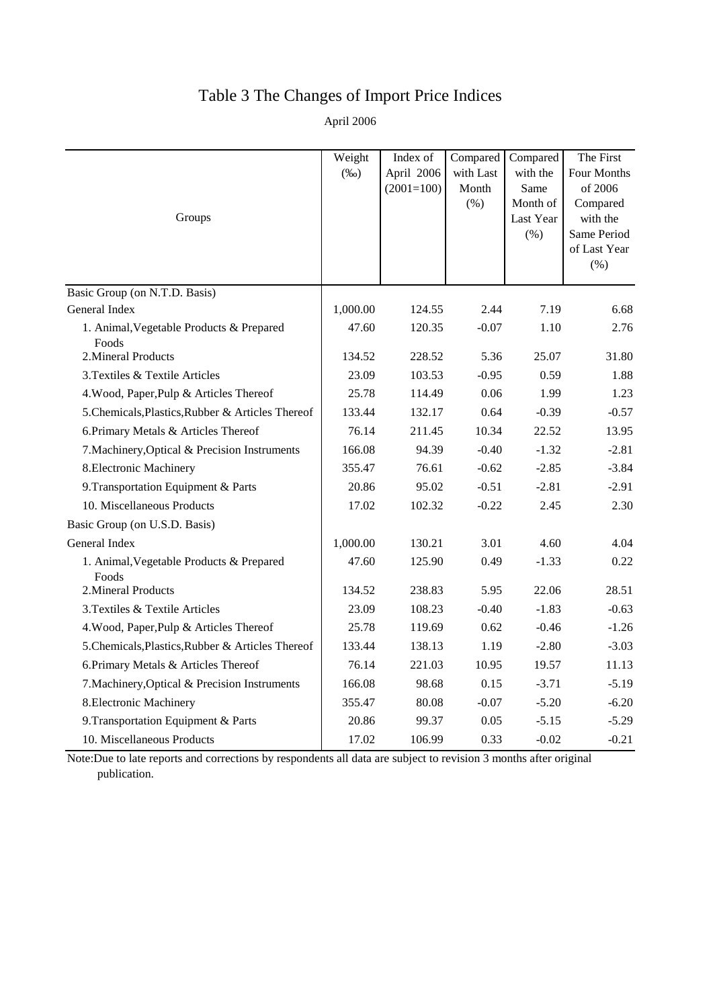# Table 3 The Changes of Import Price Indices

April 2006

| Groups                                            | Weight<br>$(\%0)$ | Index of<br>April 2006<br>$(2001=100)$ | Compared<br>with Last<br>Month<br>$(\% )$ | Compared<br>with the<br>Same<br>Month of<br>Last Year<br>$(\% )$ | The First<br>Four Months<br>of 2006<br>Compared<br>with the<br>Same Period<br>of Last Year<br>(% ) |
|---------------------------------------------------|-------------------|----------------------------------------|-------------------------------------------|------------------------------------------------------------------|----------------------------------------------------------------------------------------------------|
| Basic Group (on N.T.D. Basis)<br>General Index    | 1,000.00          | 124.55                                 | 2.44                                      | 7.19                                                             | 6.68                                                                                               |
| 1. Animal, Vegetable Products & Prepared          | 47.60             | 120.35                                 | $-0.07$                                   | 1.10                                                             | 2.76                                                                                               |
| Foods                                             |                   |                                        |                                           |                                                                  |                                                                                                    |
| 2. Mineral Products                               | 134.52            | 228.52                                 | 5.36                                      | 25.07                                                            | 31.80                                                                                              |
| 3. Textiles & Textile Articles                    | 23.09             | 103.53                                 | $-0.95$                                   | 0.59                                                             | 1.88                                                                                               |
| 4. Wood, Paper, Pulp & Articles Thereof           | 25.78             | 114.49                                 | 0.06                                      | 1.99                                                             | 1.23                                                                                               |
| 5. Chemicals, Plastics, Rubber & Articles Thereof | 133.44            | 132.17                                 | 0.64                                      | $-0.39$                                                          | $-0.57$                                                                                            |
| 6. Primary Metals & Articles Thereof              | 76.14             | 211.45                                 | 10.34                                     | 22.52                                                            | 13.95                                                                                              |
| 7. Machinery, Optical & Precision Instruments     | 166.08            | 94.39                                  | $-0.40$                                   | $-1.32$                                                          | $-2.81$                                                                                            |
| 8. Electronic Machinery                           | 355.47            | 76.61                                  | $-0.62$                                   | $-2.85$                                                          | $-3.84$                                                                                            |
| 9. Transportation Equipment & Parts               | 20.86             | 95.02                                  | $-0.51$                                   | $-2.81$                                                          | $-2.91$                                                                                            |
| 10. Miscellaneous Products                        | 17.02             | 102.32                                 | $-0.22$                                   | 2.45                                                             | 2.30                                                                                               |
| Basic Group (on U.S.D. Basis)                     |                   |                                        |                                           |                                                                  |                                                                                                    |
| General Index                                     | 1,000.00          | 130.21                                 | 3.01                                      | 4.60                                                             | 4.04                                                                                               |
| 1. Animal, Vegetable Products & Prepared<br>Foods | 47.60             | 125.90                                 | 0.49                                      | $-1.33$                                                          | 0.22                                                                                               |
| 2. Mineral Products                               | 134.52            | 238.83                                 | 5.95                                      | 22.06                                                            | 28.51                                                                                              |
| 3. Textiles & Textile Articles                    | 23.09             | 108.23                                 | $-0.40$                                   | $-1.83$                                                          | $-0.63$                                                                                            |
| 4. Wood, Paper, Pulp & Articles Thereof           | 25.78             | 119.69                                 | 0.62                                      | $-0.46$                                                          | $-1.26$                                                                                            |
| 5. Chemicals, Plastics, Rubber & Articles Thereof | 133.44            | 138.13                                 | 1.19                                      | $-2.80$                                                          | $-3.03$                                                                                            |
| 6. Primary Metals & Articles Thereof              | 76.14             | 221.03                                 | 10.95                                     | 19.57                                                            | 11.13                                                                                              |
| 7. Machinery, Optical & Precision Instruments     | 166.08            | 98.68                                  | 0.15                                      | $-3.71$                                                          | $-5.19$                                                                                            |
| 8. Electronic Machinery                           | 355.47            | 80.08                                  | $-0.07$                                   | $-5.20$                                                          | $-6.20$                                                                                            |
| 9. Transportation Equipment & Parts               | 20.86             | 99.37                                  | 0.05                                      | $-5.15$                                                          | $-5.29$                                                                                            |
| 10. Miscellaneous Products                        | 17.02             | 106.99                                 | 0.33                                      | $-0.02$                                                          | $-0.21$                                                                                            |

Note:Due to late reports and corrections by respondents all data are subject to revision 3 months after original publication.